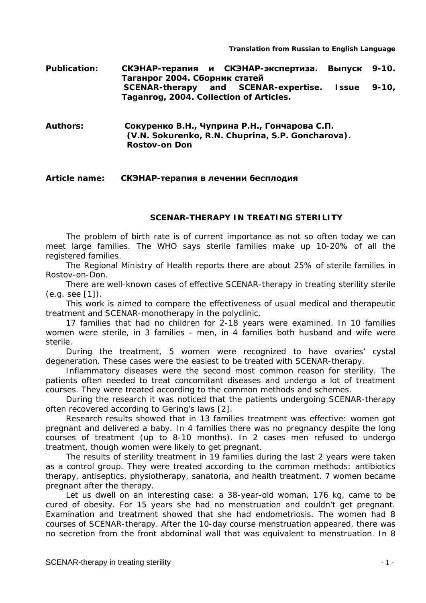**Publication: СКЭНАР-терапия и СКЭНАР-экспертиза. Выпуск 9-10. Таганрог 2004. Сборник статей SCENAR-therapy and SCENAR-expertise. Issue 9-10, Taganrog, 2004. Collection of Articles.**

**Authors: Сокуренко В.Н., Чуприна Р.Н., Гончарова С.П. (V.N. Sokurenko, R.N. Chuprina, S.P. Goncharova). Rostov-on Don**

## **Article name: СКЭНАР-терапия в лечении бесплодия**

## **SCENAR-THERAPY IN TREATING STERILITY**

The problem of birth rate is of current importance as not so often today we can meet large families. The WHO says sterile families make up 10-20% of all the registered families.

The Regional Ministry of Health reports there are about 25% of sterile families in Rostov-on-Don.

There are well-known cases of effective SCENAR-therapy in treating sterility sterile (e.g. see [1]).

This work is aimed to compare the effectiveness of usual medical and therapeutic treatment and SCENAR-monotherapy in the polyclinic.

17 families that had no children for 2-18 years were examined. In 10 families women were sterile, in 3 families - men, in 4 families both husband and wife were sterile.

During the treatment, 5 women were recognized to have ovaries' cystal degeneration. These cases were the easiest to be treated with SCENAR-therapy.

Inflammatory diseases were the second most common reason for sterility. The patients often needed to treat concomitant diseases and undergo a lot of treatment courses. They were treated according to the common methods and schemes.

During the research it was noticed that the patients undergoing SCENAR-therapy often recovered according to Gering's laws [2].

Research results showed that in 13 families treatment was effective: women got pregnant and delivered a baby. In 4 families there was no pregnancy despite the long courses of treatment (up to 8-10 months). In 2 cases men refused to undergo treatment, though women were likely to get pregnant.

The results of sterility treatment in 19 families during the last 2 years were taken as a control group. They were treated according to the common methods: antibiotics therapy, antiseptics, physiotherapy, sanatoria, and health treatment. 7 women became pregnant after the therapy.

Let us dwell on an interesting case: a 38-year-old woman, 176 kg, came to be cured of obesity. For 15 years she had no menstruation and couldn't get pregnant. Examination and treatment showed that she had endometriosis. The women had 8 courses of SCENAR-therapy. After the 10-day course menstruation appeared, there was no secretion from the front abdominal wall that was equivalent to menstruation. In 8